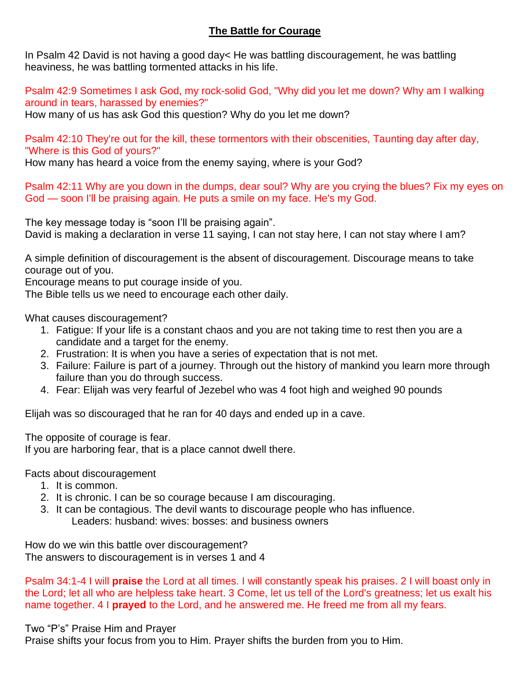## **The Battle for Courage**

In Psalm 42 David is not having a good day< He was battling discouragement, he was battling heaviness, he was battling tormented attacks in his life.

Psalm 42:9 Sometimes I ask God, my rock-solid God, "Why did you let me down? Why am I walking around in tears, harassed by enemies?"

How many of us has ask God this question? Why do you let me down?

Psalm 42:10 They're out for the kill, these tormentors with their obscenities, Taunting day after day, "Where is this God of yours?"

How many has heard a voice from the enemy saying, where is your God?

Psalm 42:11 Why are you down in the dumps, dear soul? Why are you crying the blues? Fix my eyes on God — soon I'll be praising again. He puts a smile on my face. He's my God.

The key message today is "soon I'll be praising again". David is making a declaration in verse 11 saying, I can not stay here, I can not stay where I am?

A simple definition of discouragement is the absent of discouragement. Discourage means to take courage out of you.

Encourage means to put courage inside of you.

The Bible tells us we need to encourage each other daily.

What causes discouragement?

- 1. Fatigue: If your life is a constant chaos and you are not taking time to rest then you are a candidate and a target for the enemy.
- 2. Frustration: It is when you have a series of expectation that is not met.
- 3. Failure: Failure is part of a journey. Through out the history of mankind you learn more through failure than you do through success.
- 4. Fear: Elijah was very fearful of Jezebel who was 4 foot high and weighed 90 pounds

Elijah was so discouraged that he ran for 40 days and ended up in a cave.

The opposite of courage is fear.

If you are harboring fear, that is a place cannot dwell there.

Facts about discouragement

- 1. It is common.
- 2. It is chronic. I can be so courage because I am discouraging.
- 3. It can be contagious. The devil wants to discourage people who has influence. Leaders: husband: wives: bosses: and business owners

How do we win this battle over discouragement? The answers to discouragement is in verses 1 and 4

Psalm 34:1-4 I will **praise** the Lord at all times. I will constantly speak his praises. 2 I will boast only in the Lord; let all who are helpless take heart. 3 Come, let us tell of the Lord's greatness; let us exalt his name together. 4 I **prayed** to the Lord, and he answered me. He freed me from all my fears.

## Two "P's" Praise Him and Prayer

Praise shifts your focus from you to Him. Prayer shifts the burden from you to Him.